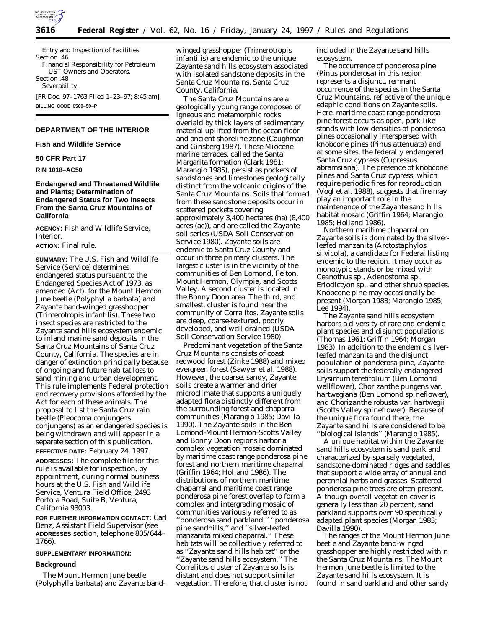

Entry and Inspection of Facilities. Section .46 Financial Responsibility for Petroleum UST Owners and Operators. Section .48 Severability. [FR Doc. 97–1763 Filed 1–23–97; 8:45 am] **BILLING CODE 6560–50–P**

# **DEPARTMENT OF THE INTERIOR**

**Fish and Wildlife Service**

# **50 CFR Part 17**

**RIN 1018–AC50**

# **Endangered and Threatened Wildlife and Plants; Determination of Endangered Status for Two Insects From the Santa Cruz Mountains of California**

**AGENCY:** Fish and Wildlife Service, Interior.

#### **ACTION:** Final rule.

**SUMMARY:** The U.S. Fish and Wildlife Service (Service) determines endangered status pursuant to the Endangered Species Act of 1973, as amended (Act), for the Mount Hermon June beetle (*Polyphylla barbata*) and Zayante band-winged grasshopper (*Trimerotropis infantilis*). These two insect species are restricted to the Zayante sand hills ecosystem endemic to inland marine sand deposits in the Santa Cruz Mountains of Santa Cruz County, California. The species are in danger of extinction principally because of ongoing and future habitat loss to sand mining and urban development. This rule implements Federal protection and recovery provisions afforded by the Act for each of these animals. The proposal to list the Santa Cruz rain beetle (*Pleocoma conjungens conjungens*) as an endangered species is being withdrawn and will appear in a separate section of this publication.

**EFFECTIVE DATE:** February 24, 1997.

**ADDRESSES:** The complete file for this rule is available for inspection, by appointment, during normal business hours at the U.S. Fish and Wildlife Service, Ventura Field Office, 2493 Portola Road, Suite B, Ventura, California 93003.

**FOR FURTHER INFORMATION CONTACT:** Carl Benz, Assistant Field Supervisor (see **ADDRESSES** section, telephone 805/644– 1766).

#### **SUPPLEMENTARY INFORMATION:**

#### **Background**

The Mount Hermon June beetle (*Polyphylla barbata*) and Zayante bandwinged grasshopper (*Trimerotropis infantilis*) are endemic to the unique Zayante sand hills ecosystem associated with isolated sandstone deposits in the Santa Cruz Mountains, Santa Cruz County, California.

The Santa Cruz Mountains are a geologically young range composed of igneous and metamorphic rocks overlaid by thick layers of sedimentary material uplifted from the ocean floor and ancient shoreline zone (Caughman and Ginsberg 1987). These Miocene marine terraces, called the Santa Margarita formation (Clark 1981; Marangio 1985), persist as pockets of sandstones and limestones geologically distinct from the volcanic origins of the Santa Cruz Mountains. Soils that formed from these sandstone deposits occur in scattered pockets covering approximately 3,400 hectares (ha) (8,400 acres (ac)), and are called the Zayante soil series (USDA Soil Conservation Service 1980). Zayante soils are endemic to Santa Cruz County and occur in three primary clusters. The largest cluster is in the vicinity of the communities of Ben Lomond, Felton, Mount Hermon, Olympia, and Scotts Valley. A second cluster is located in the Bonny Doon area. The third, and smallest, cluster is found near the community of Corralitos. Zayante soils are deep, coarse-textured, poorly developed, and well drained (USDA Soil Conservation Service 1980).

Predominant vegetation of the Santa Cruz Mountains consists of coast redwood forest (Zinke 1988) and mixed evergreen forest (Sawyer *et al.* 1988). However, the coarse, sandy, Zayante soils create a warmer and drier microclimate that supports a uniquely adapted flora distinctly different from the surrounding forest and chaparral communities (Marangio 1985; Davilla 1990). The Zayante soils in the Ben Lomond-Mount Hermon-Scotts Valley and Bonny Doon regions harbor a complex vegetation mosaic dominated by maritime coast range ponderosa pine forest and northern maritime chaparral (Griffin 1964; Holland 1986). The distributions of northern maritime chaparral and maritime coast range ponderosa pine forest overlap to form a complex and intergrading mosaic of communities variously referred to as ''ponderosa sand parkland,'' ''ponderosa pine sandhills,'' and ''silver-leafed manzanita mixed chaparral.'' These habitats will be collectively referred to as ''Zayante sand hills habitat'' or the ''Zayante sand hills ecosystem.'' The Corralitos cluster of Zayante soils is distant and does not support similar vegetation. Therefore, that cluster is not

included in the Zayante sand hills ecosystem.

The occurrence of ponderosa pine (*Pinus ponderosa*) in this region represents a disjunct, remnant occurrence of the species in the Santa Cruz Mountains, reflective of the unique edaphic conditions on Zayante soils. Here, maritime coast range ponderosa pine forest occurs as open, park-like stands with low densities of ponderosa pines occasionally interspersed with knobcone pines (*Pinus attenuata*) and, at some sites, the federally endangered Santa Cruz cypress (*Cupressus abramsiana*). The presence of knobcone pines and Santa Cruz cypress, which require periodic fires for reproduction (Vogl *et al.* 1988), suggests that fire may play an important role in the maintenance of the Zayante sand hills habitat mosaic (Griffin 1964; Marangio 1985; Holland 1986).

Northern maritime chaparral on Zayante soils is dominated by the silverleafed manzanita (*Arctostaphylos silvicola*), a candidate for Federal listing endemic to the region. It may occur as monotypic stands or be mixed with *Ceanothus* sp., *Adenostoma* sp., *Eriodictyon* sp., and other shrub species. Knobcone pine may occasionally be present (Morgan 1983; Marangio 1985; Lee 1994).

The Zayante sand hills ecosystem harbors a diversity of rare and endemic plant species and disjunct populations (Thomas 1961; Griffin 1964; Morgan 1983). In addition to the endemic silverleafed manzanita and the disjunct population of ponderosa pine, Zayante soils support the federally endangered *Erysimum teretifolium* (Ben Lomond wallflower), *Chorizanthe pungens* var. *hartwegiana* (Ben Lomond spineflower), and *Chorizanthe robusta* var. *hartwegii* (Scotts Valley spineflower). Because of the unique flora found there, the Zayante sand hills are considered to be ''biological islands'' (Marangio 1985).

A unique habitat within the Zayante sand hills ecosystem is sand parkland characterized by sparsely vegetated, sandstone-dominated ridges and saddles that support a wide array of annual and perennial herbs and grasses. Scattered ponderosa pine trees are often present. Although overall vegetation cover is generally less than 20 percent, sand parkland supports over 90 specifically adapted plant species (Morgan 1983; Davilla 1990).

The ranges of the Mount Hermon June beetle and Zayante band-winged grasshopper are highly restricted within the Santa Cruz Mountains. The Mount Hermon June beetle is limited to the Zayante sand hills ecosystem. It is found in sand parkland and other sandy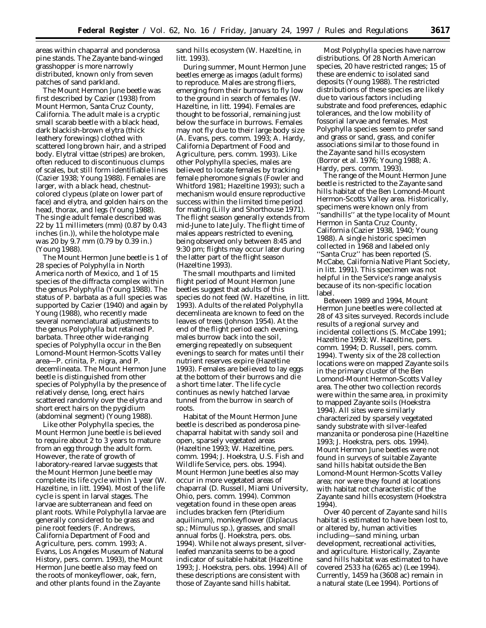areas within chaparral and ponderosa pine stands. The Zayante band-winged grasshopper is more narrowly distributed, known only from seven patches of sand parkland.

The Mount Hermon June beetle was first described by Cazier (1938) from Mount Hermon, Santa Cruz County, California. The adult male is a cryptic small scarab beetle with a black head, dark blackish-brown elytra (thick leathery forewings) clothed with scattered long brown hair, and a striped body. Elytral vittae (stripes) are broken, often reduced to discontinuous clumps of scales, but still form identifiable lines (Cazier 1938; Young 1988). Females are larger, with a black head, chestnutcolored clypeus (plate on lower part of face) and elytra, and golden hairs on the head, thorax, and legs (Young 1988). The single adult female described was 22 by 11 millimeters (mm) (0.87 by 0.43 inches (in.)), while the holotype male was 20 by 9.7 mm (0.79 by 0.39 in.) (Young 1988).

The Mount Hermon June beetle is 1 of 28 species of *Polyphylla* in North America north of Mexico, and 1 of 15 species of the *diffracta* complex within the genus *Polyphylla* (Young 1988). The status of *P. barbata* as a full species was supported by Cazier (1940) and again by Young (1988), who recently made several nomenclatural adjustments to the genus *Polyphylla* but retained *P. barbata.* Three other wide-ranging species of *Polyphylla* occur in the Ben Lomond-Mount Hermon-Scotts Valley area—*P. crinita, P. nigra,* and *P. decemlineata.* The Mount Hermon June beetle is distinguished from other species of *Polyphylla* by the presence of relatively dense, long, erect hairs scattered randomly over the elytra and short erect hairs on the pygidium (abdominal segment) (Young 1988).

Like other *Polyphylla* species, the Mount Hermon June beetle is believed to require about 2 to 3 years to mature from an egg through the adult form. However, the rate of growth of laboratory-reared larvae suggests that the Mount Hermon June beetle may complete its life cycle within 1 year (W. Hazeltine, *in litt.* 1994). Most of the life cycle is spent in larval stages. The larvae are subterranean and feed on plant roots. While *Polyphylla* larvae are generally considered to be grass and pine root feeders (F. Andrews, California Department of Food and Agriculture, pers. comm. 1993; A. Evans, Los Angeles Museum of Natural History, pers. comm. 1993), the Mount Hermon June beetle also may feed on the roots of monkeyflower, oak, fern, and other plants found in the Zayante

sand hills ecosystem (W. Hazeltine, *in litt.* 1993).

During summer, Mount Hermon June beetles emerge as imagos (adult forms) to reproduce. Males are strong fliers, emerging from their burrows to fly low to the ground in search of females (W. Hazeltine, *in litt.* 1994). Females are thought to be fossorial, remaining just below the surface in burrows. Females may not fly due to their large body size (A. Evans, pers. comm. 1993; A. Hardy, California Department of Food and Agriculture, pers. comm. 1993). Like other *Polyphylla* species, males are believed to locate females by tracking female pheromone signals (Fowler and Whitford 1981; Hazeltine 1993); such a mechanism would ensure reproductive success within the limited time period for mating (Lilly and Shorthouse 1971). The flight season generally extends from mid-June to late July. The flight time of males appears restricted to evening, being observed only between 8:45 and 9:30 pm; flights may occur later during the latter part of the flight season (Hazeltine 1993).

The small mouthparts and limited flight period of Mount Hermon June beetles suggest that adults of this species do not feed (W. Hazeltine, *in litt*. 1993). Adults of the related *Polyphylla decemlineata* are known to feed on the leaves of trees (Johnson 1954). At the end of the flight period each evening, males burrow back into the soil, emerging repeatedly on subsequent evenings to search for mates until their nutrient reserves expire (Hazeltine 1993). Females are believed to lay eggs at the bottom of their burrows and die a short time later. The life cycle continues as newly hatched larvae tunnel from the burrow in search of roots.

Habitat of the Mount Hermon June beetle is described as ponderosa pinechaparral habitat with sandy soil and open, sparsely vegetated areas (Hazeltine 1993; W. Hazeltine, pers. comm. 1994; J. Hoekstra, U.S. Fish and Wildlife Service, pers. obs. 1994). Mount Hermon June beetles also may occur in more vegetated areas of chaparral (D. Russell, Miami University, Ohio, pers. comm. 1994). Common vegetation found in these open areas includes bracken fern (*Pteridium aquilinum)*, monkeyflower (*Diplacus* sp.; *Mimulus* sp.), grasses, and small annual forbs (J. Hoekstra, pers. obs. 1994). While not always present, silverleafed manzanita seems to be a good indicator of suitable habitat (Hazeltine 1993; J. Hoekstra, pers. obs. 1994) All of these descriptions are consistent with those of Zayante sand hills habitat.

Most *Polyphylla* species have narrow distributions. Of 28 North American species, 20 have restricted ranges; 15 of these are endemic to isolated sand deposits (Young 1988). The restricted distributions of these species are likely due to various factors including substrate and food preferences, edaphic tolerances, and the low mobility of fossorial larvae and females. Most *Polyphylla* species seem to prefer sand and grass or sand, grass, and conifer associations similar to those found in the Zayante sand hills ecosystem (Borror *et al.* 1976; Young 1988; A. Hardy, pers. comm. 1993).

The range of the Mount Hermon June beetle is restricted to the Zayante sand hills habitat of the Ben Lomond-Mount Hermon-Scotts Valley area. Historically, specimens were known only from ''sandhills'' at the type locality of Mount Hermon in Santa Cruz County, California (Cazier 1938, 1940; Young 1988). A single historic specimen collected in 1968 and labeled only ''Santa Cruz'' has been reported (S. McCabe, California Native Plant Society, *in litt.* 1991). This specimen was not helpful in the Service's range analysis because of its non-specific location label.

Between 1989 and 1994, Mount Hermon June beetles were collected at 28 of 43 sites surveyed. Records include results of a regional survey and incidental collections (S. McCabe 1991; Hazeltine 1993; W. Hazeltine, pers. comm. 1994; D. Russell, pers. comm. 1994). Twenty six of the 28 collection locations were on mapped Zayante soils in the primary cluster of the Ben Lomond-Mount Hermon-Scotts Valley area. The other two collection records were within the same area, in proximity to mapped Zayante soils (Hoekstra 1994). All sites were similarly characterized by sparsely vegetated sandy substrate with silver-leafed manzanita or ponderosa pine (Hazeltine 1993; J. Hoekstra, pers. obs. 1994). Mount Hermon June beetles were not found in surveys of suitable Zayante sand hills habitat outside the Ben Lomond-Mount Hermon-Scotts Valley area; nor were they found at locations with habitat not characteristic of the Zayante sand hills ecosystem (Hoekstra 1994).

Over 40 percent of Zayante sand hills habitat is estimated to have been lost to, or altered by, human activities including—sand mining, urban development, recreational activities, and agriculture. Historically, Zayante sand hills habitat was estimated to have covered 2533 ha (6265 ac) (Lee 1994). Currently, 1459 ha (3608 ac) remain in a natural state (Lee 1994). Portions of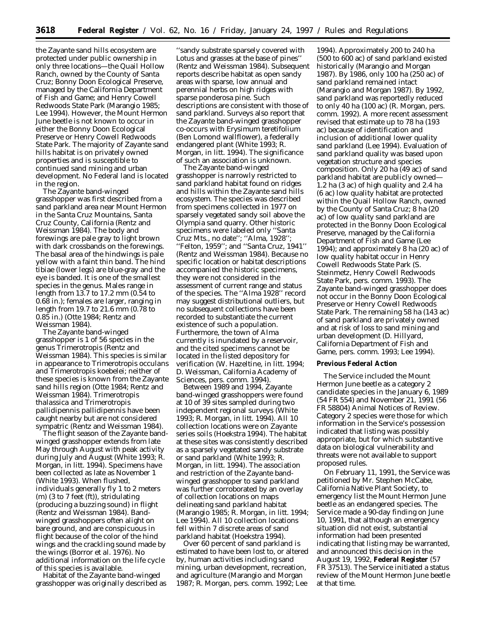the Zayante sand hills ecosystem are protected under public ownership in only three locations—the Quail Hollow Ranch, owned by the County of Santa Cruz; Bonny Doon Ecological Preserve, managed by the California Department of Fish and Game; and Henry Cowell Redwoods State Park (Marangio 1985; Lee 1994). However, the Mount Hermon June beetle is not known to occur in either the Bonny Doon Ecological Preserve or Henry Cowell Redwoods State Park. The majority of Zayante sand hills habitat is on privately owned properties and is susceptible to continued sand mining and urban development. No Federal land is located in the region.

The Zayante band-winged grasshopper was first described from a sand parkland area near Mount Hermon in the Santa Cruz Mountains, Santa Cruz County, California (Rentz and Weissman 1984). The body and forewings are pale gray to light brown with dark crossbands on the forewings. The basal area of the hindwings is pale yellow with a faint thin band. The hind tibiae (lower legs) are blue-gray and the eye is banded. It is one of the smallest species in the genus. Males range in length from 13.7 to 17.2 mm (0.54 to 0.68 in.); females are larger, ranging in length from 19.7 to 21.6 mm (0.78 to 0.85 in.) (Otte 1984; Rentz and Weissman 1984).

The Zayante band-winged grasshopper is 1 of 56 species in the genus *Trimerotropis* (Rentz and Weissman 1984). This species is similar in appearance to *Trimerotropis occulans* and *Trimerotropis koebelei*; neither of these species is known from the Zayante sand hills region (Otte 1984; Rentz and Weissman 1984). *Trimerotropis thalassica* and *Trimerotropis pallidipennis pallidipennis* have been caught nearby but are not considered sympatric (Rentz and Weissman 1984).

The flight season of the Zayante bandwinged grasshopper extends from late May through August with peak activity during July and August (White 1993; R. Morgan, *in litt.* 1994). Specimens have been collected as late as November 1 (White 1993). When flushed, individuals generally fly 1 to 2 meters (m) (3 to 7 feet (ft)), stridulating (producing a buzzing sound) in flight (Rentz and Weissman 1984). Bandwinged grasshoppers often alight on bare ground, and are conspicuous in flight because of the color of the hind wings and the crackling sound made by the wings (Borror *et al.* 1976). No additional information on the life cycle of this species is available.

Habitat of the Zayante band-winged grasshopper was originally described as

''sandy substrate sparsely covered with *Lotus* and grasses at the base of pines'' (Rentz and Weissman 1984). Subsequent reports describe habitat as open sandy areas with sparse, low annual and perennial herbs on high ridges with sparse ponderosa pine. Such descriptions are consistent with those of sand parkland. Surveys also report that the Zayante band-winged grasshopper co-occurs with *Erysimum teretifolium* (Ben Lomond wallflower), a federally endangered plant (White 1993; R. Morgan, *in litt.* 1994). The significance of such an association is unknown.

The Zayante band-winged grasshopper is narrowly restricted to sand parkland habitat found on ridges and hills within the Zayante sand hills ecosystem. The species was described from specimens collected in 1977 on sparsely vegetated sandy soil above the Olympia sand quarry. Other historic specimens were labeled only ''Santa Cruz Mts., no date''; ''Alma, 1928''; ''Felton, 1959''; and ''Santa Cruz, 1941'' (Rentz and Weissman 1984). Because no specific location or habitat descriptions accompanied the historic specimens, they were not considered in the assessment of current range and status of the species. The ''Alma 1928'' record may suggest distributional outliers, but no subsequent collections have been recorded to substantiate the current existence of such a population. Furthermore, the town of Alma currently is inundated by a reservoir, and the cited specimens cannot be located in the listed depository for verification (W. Hazeltine, *in litt.* 1994; D. Weissman, California Academy of Sciences, pers. comm. 1994).

Between 1989 and 1994, Zayante band-winged grasshoppers were found at 10 of 39 sites sampled during two independent regional surveys (White 1993; R. Morgan, *in litt.* 1994). All 10 collection locations were on Zayante series soils (Hoekstra 1994). The habitat at these sites was consistently described as a sparsely vegetated sandy substrate or sand parkland (White 1993; R. Morgan, *in litt.* 1994). The association and restriction of the Zayante bandwinged grasshopper to sand parkland was further corroborated by an overlay of collection locations on maps delineating sand parkland habitat (Marangio 1985; R. Morgan, *in litt.* 1994; Lee 1994). All 10 collection locations fell within 7 discrete areas of sand parkland habitat (Hoekstra 1994).

Over 60 percent of sand parkland is estimated to have been lost to, or altered by, human activities including sand mining, urban development, recreation, and agriculture (Marangio and Morgan 1987; R. Morgan, pers. comm. 1992; Lee

1994). Approximately 200 to 240 ha (500 to 600 ac) of sand parkland existed historically (Marangio and Morgan 1987). By 1986, only 100 ha (250 ac) of sand parkland remained intact (Marangio and Morgan 1987). By 1992, sand parkland was reportedly reduced to only 40 ha (100 ac) (R. Morgan, pers. comm. 1992). A more recent assessment revised that estimate up to 78 ha (193 ac) because of identification and inclusion of additional lower quality sand parkland (Lee 1994). Evaluation of sand parkland quality was based upon vegetation structure and species composition. Only 20 ha (49 ac) of sand parkland habitat are publicly owned— 1.2 ha (3 ac) of high quality and 2.4 ha (6 ac) low quality habitat are protected within the Quail Hollow Ranch, owned by the County of Santa Cruz; 8 ha (20 ac) of low quality sand parkland are protected in the Bonny Doon Ecological Preserve, managed by the California Department of Fish and Game (Lee 1994); and approximately 8 ha (20 ac) of low quality habitat occur in Henry Cowell Redwoods State Park (S. Steinmetz, Henry Cowell Redwoods State Park, pers. comm. 1993). The Zayante band-winged grasshopper does not occur in the Bonny Doon Ecological Preserve or Henry Cowell Redwoods State Park. The remaining 58 ha (143 ac) of sand parkland are privately owned and at risk of loss to sand mining and urban development (D. Hillyard, California Department of Fish and Game, pers. comm. 1993; Lee 1994).

# **Previous Federal Action**

The Service included the Mount Hermon June beetle as a category 2 candidate species in the January 6, 1989 (54 FR 554) and November 21, 1991 (56 FR 58804) Animal Notices of Review. Category 2 species were those for which information in the Service's possession indicated that listing was possibly appropriate, but for which substantive data on biological vulnerability and threats were not available to support proposed rules.

On February 11, 1991, the Service was petitioned by Mr. Stephen McCabe, California Native Plant Society, to emergency list the Mount Hermon June beetle as an endangered species. The Service made a 90-day finding on June 10, 1991, that although an emergency situation did not exist, substantial information had been presented indicating that listing may be warranted, and announced this decision in the August 19, 1992, **Federal Register** (57 FR 37513). The Service initiated a status review of the Mount Hermon June beetle at that time.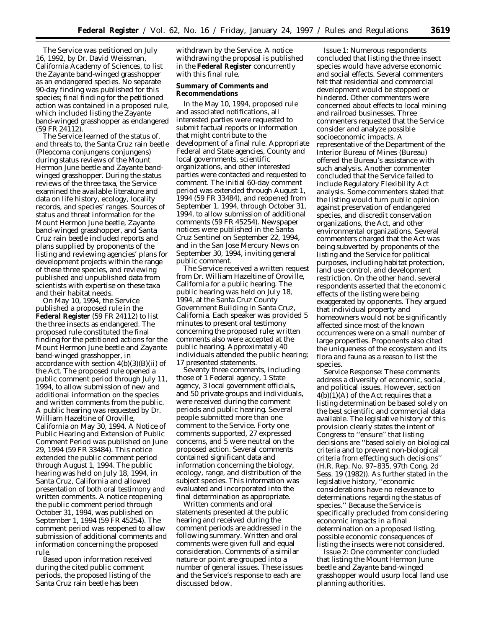The Service was petitioned on July 16, 1992, by Dr. David Weissman, California Academy of Sciences, to list the Zayante band-winged grasshopper as an endangered species. No separate 90-day finding was published for this species; final finding for the petitioned action was contained in a proposed rule, which included listing the Zayante band-winged grasshopper as endangered (59 FR 24112).

The Service learned of the status of, and threats to, the Santa Cruz rain beetle (*Pleocoma conjungens conjungens*) during status reviews of the Mount Hermon June beetle and Zayante bandwinged grasshopper. During the status reviews of the three taxa, the Service examined the available literature and data on life history, ecology, locality records, and species' ranges. Sources of status and threat information for the Mount Hermon June beetle, Zayante band-winged grasshopper, and Santa Cruz rain beetle included reports and plans supplied by proponents of the listing and reviewing agencies' plans for development projects within the range of these three species, and reviewing published and unpublished data from scientists with expertise on these taxa and their habitat needs.

On May 10, 1994, the Service published a proposed rule in the **Federal Register** (59 FR 24112) to list the three insects as endangered. The proposed rule constituted the final finding for the petitioned actions for the Mount Hermon June beetle and Zayante band-winged grasshopper, in accordance with section  $4(b)(3)(B)(ii)$  of the Act. The proposed rule opened a public comment period through July 11, 1994, to allow submission of new and additional information on the species and written comments from the public. A public hearing was requested by Dr. William Hazeltine of Oroville, California on May 30, 1994. A Notice of Public Hearing and Extension of Public Comment Period was published on June 29, 1994 (59 FR 33484). This notice extended the public comment period through August 1, 1994. The public hearing was held on July 18, 1994, in Santa Cruz, California and allowed presentation of both oral testimony and written comments. A notice reopening the public comment period through October 31, 1994, was published on September 1, 1994 (59 FR 45254). The comment period was reopened to allow submission of additional comments and information concerning the proposed rule.

Based upon information received during the cited public comment periods, the proposed listing of the Santa Cruz rain beetle has been

withdrawn by the Service. A notice withdrawing the proposal is published in the **Federal Register** concurrently with this final rule.

# **Summary of Comments and Recommendations**

In the May 10, 1994, proposed rule and associated notifications, all interested parties were requested to submit factual reports or information that might contribute to the development of a final rule. Appropriate Federal and State agencies, County and local governments, scientific organizations, and other interested parties were contacted and requested to comment. The initial 60-day comment period was extended through August 1, 1994 (59 FR 33484), and reopened from September 1, 1994, through October 31, 1994, to allow submission of additional comments (59 FR 45254). Newspaper notices were published in the Santa Cruz Sentinel on September 22, 1994, and in the San Jose Mercury News on September 30, 1994, inviting general public comment.

The Service received a written request from Dr. William Hazeltine of Oroville, California for a public hearing. The public hearing was held on July 18, 1994, at the Santa Cruz County Government Building in Santa Cruz, California. Each speaker was provided 5 minutes to present oral testimony concerning the proposed rule; written comments also were accepted at the public hearing. Approximately 40 individuals attended the public hearing; 17 presented statements.

Seventy three comments, including those of 1 Federal agency, 1 State agency, 3 local government officials, and 50 private groups and individuals, were received during the comment periods and public hearing. Several people submitted more than one comment to the Service. Forty one comments supported, 27 expressed concerns, and 5 were neutral on the proposed action. Several comments contained significant data and information concerning the biology, ecology, range, and distribution of the subject species. This information was evaluated and incorporated into the final determination as appropriate.

Written comments and oral statements presented at the public hearing and received during the comment periods are addressed in the following summary. Written and oral comments were given full and equal consideration. Comments of a similar nature or point are grouped into a number of general issues. These issues and the Service's response to each are discussed below.

*Issue 1:* Numerous respondents concluded that listing the three insect species would have adverse economic and social effects. Several commenters felt that residential and commercial development would be stopped or hindered. Other commenters were concerned about effects to local mining and railroad businesses. Three commenters requested that the Service consider and analyze possible socioeconomic impacts. A representative of the Department of the Interior Bureau of Mines (Bureau) offered the Bureau's assistance with such analysis. Another commenter concluded that the Service failed to include Regulatory Flexibility Act analysis. Some commenters stated that the listing would turn public opinion against preservation of endangered species, and discredit conservation organizations, the Act, and other environmental organizations. Several commenters charged that the Act was being subverted by proponents of the listing and the Service for political purposes, including habitat protection, land use control, and development restriction. On the other hand, several respondents asserted that the economic effects of the listing were being exaggerated by opponents. They argued that individual property and homeowners would not be significantly affected since most of the known occurrences were on a small number of large properties. Proponents also cited the uniqueness of the ecosystem and its flora and fauna as a reason to list the species.

*Service Response:* These comments address a diversity of economic, social, and political issues. However, section 4(b)(1)(A) of the Act requires that a listing determination be based solely on the best scientific and commercial data available. The legislative history of this provision clearly states the intent of Congress to ''ensure'' that listing decisions are ''based solely on biological criteria and to prevent non-biological criteria from effecting such decisions'' (H.R. Rep. No. 97–835, 97th Cong. 2d Sess. 19 (1982)). As further stated in the legislative history, ''economic considerations have no relevance to determinations regarding the status of species.'' Because the Service is specifically precluded from considering economic impacts in a final determination on a proposed listing, possible economic consequences of listing the insects were not considered.

*Issue 2:* One commenter concluded that listing the Mount Hermon June beetle and Zayante band-winged grasshopper would usurp local land use planning authorities.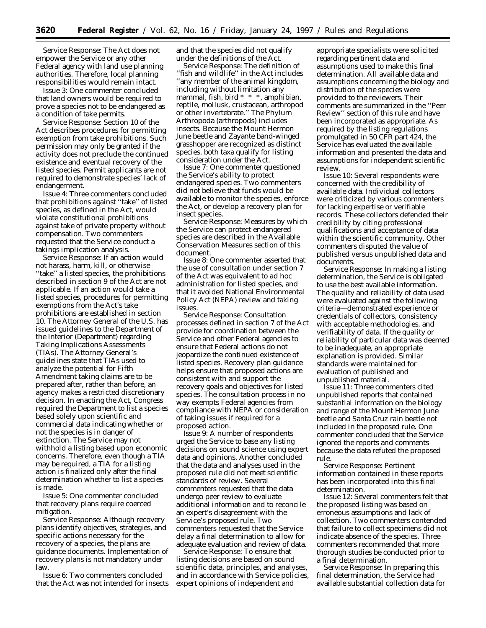*Service Response:* The Act does not empower the Service or any other Federal agency with land use planning authorities. Therefore, local planning responsibilities would remain intact.

*Issue 3:* One commenter concluded that land owners would be required to prove a species not to be endangered as a condition of take permits.

*Service Response:* Section 10 of the Act describes procedures for permitting exemption from take prohibitions. Such permission may only be granted if the activity does not preclude the continued existence and eventual recovery of the listed species. Permit applicants are not required to demonstrate species' lack of endangerment.

*Issue 4:* Three commenters concluded that prohibitions against ''take'' of listed species, as defined in the Act, would violate constitutional prohibitions against take of private property without compensation. Two commenters requested that the Service conduct a takings implication analysis.

*Service Response:* If an action would not harass, harm, kill, or otherwise ''take'' a listed species, the prohibitions described in section 9 of the Act are not applicable. If an action would take a listed species, procedures for permitting exemptions from the Act's take prohibitions are established in section 10. The Attorney General of the U.S. has issued guidelines to the Department of the Interior (Department) regarding Taking Implications Assessments (TIAs). The Attorney General's guidelines state that TIAs used to analyze the potential for Fifth Amendment taking claims are to be prepared after, rather than before, an agency makes a restricted discretionary decision. In enacting the Act, Congress required the Department to list a species based solely upon scientific and commercial data indicating whether or not the species is in danger of extinction. The Service may not withhold a listing based upon economic concerns. Therefore, even though a TIA may be required, a TIA for a listing action is finalized only after the final determination whether to list a species is made.

*Issue 5:* One commenter concluded that recovery plans require coerced mitigation.

*Service Response:* Although recovery plans identify objectives, strategies, and specific actions necessary for the recovery of a species, the plans are guidance documents. Implementation of recovery plans is not mandatory under law.

*Issue 6:* Two commenters concluded that the Act was not intended for insects and that the species did not qualify under the definitions of the Act.

*Service Response:* The definition of ''fish and wildlife'' in the Act includes ''any member of the animal kingdom, including without limitation any mammal, fish, bird \* \* \*, amphibian, reptile, mollusk, crustacean, arthropod or other invertebrate.'' The Phylum Arthropoda (arthropods) includes insects. Because the Mount Hermon June beetle and Zayante band-winged grasshopper are recognized as distinct species, both taxa qualify for listing consideration under the Act.

*Issue 7:* One commenter questioned the Service's ability to protect endangered species. Two commenters did not believe that funds would be available to monitor the species, enforce the Act, or develop a recovery plan for insect species.

*Service Response:* Measures by which the Service can protect endangered species are described in the Available Conservation Measures section of this document.

*Issue 8:* One commenter asserted that the use of consultation under section 7 of the Act was equivalent to *ad hoc* administration for listed species, and that it avoided National Environmental Policy Act (NEPA) review and taking issues.

*Service Response:* Consultation processes defined in section 7 of the Act provide for coordination between the Service and other Federal agencies to ensure that Federal actions do not jeopardize the continued existence of listed species. Recovery plan guidance helps ensure that proposed actions are consistent with and support the recovery goals and objectives for listed species. The consultation process in no way exempts Federal agencies from compliance with NEPA or consideration of taking issues if required for a proposed action.

*Issue 9:* A number of respondents urged the Service to base any listing decisions on sound science using expert data and opinions. Another concluded that the data and analyses used in the proposed rule did not meet scientific standards of review. Several commenters requested that the data undergo peer review to evaluate additional information and to reconcile an expert's disagreement with the Service's proposed rule. Two commenters requested that the Service delay a final determination to allow for adequate evaluation and review of data.

*Service Response:* To ensure that listing decisions are based on sound scientific data, principles, and analyses, and in accordance with Service policies, expert opinions of independent and

appropriate specialists were solicited regarding pertinent data and assumptions used to make this final determination. All available data and assumptions concerning the biology and distribution of the species were provided to the reviewers. Their comments are summarized in the ''Peer Review'' section of this rule and have been incorporated as appropriate. As required by the listing regulations promulgated in 50 CFR part 424, the Service has evaluated the available information and presented the data and assumptions for independent scientific review.

*Issue 10:* Several respondents were concerned with the credibility of available data. Individual collectors were criticized by various commenters for lacking expertise or verifiable records. These collectors defended their credibility by citing professional qualifications and acceptance of data within the scientific community. Other commenters disputed the value of published versus unpublished data and documents.

*Service Response:* In making a listing determination, the Service is obligated to use the best available information. The quality and reliability of data used were evaluated against the following criteria—demonstrated experience or credentials of collectors, consistency with acceptable methodologies, and verifiability of data. If the quality or reliability of particular data was deemed to be inadequate, an appropriate explanation is provided. Similar standards were maintained for evaluation of published and unpublished material.

*Issue 11:* Three commenters cited unpublished reports that contained substantial information on the biology and range of the Mount Hermon June beetle and Santa Cruz rain beetle not included in the proposed rule. One commenter concluded that the Service ignored the reports and comments because the data refuted the proposed rule.

*Service Response:* Pertinent information contained in these reports has been incorporated into this final determination.

*Issue 12:* Several commenters felt that the proposed listing was based on erroneous assumptions and lack of collection. Two commenters contended that failure to collect specimens did not indicate absence of the species. Three commenters recommended that more thorough studies be conducted prior to a final determination.

*Service Response:* In preparing this final determination, the Service had available substantial collection data for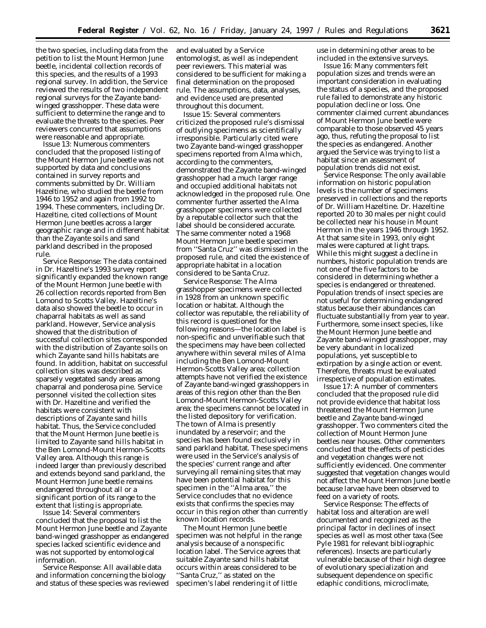the two species, including data from the petition to list the Mount Hermon June beetle, incidental collection records of this species, and the results of a 1993 regional survey. In addition, the Service reviewed the results of two independent regional surveys for the Zayante bandwinged grasshopper. These data were sufficient to determine the range and to evaluate the threats to the species. Peer reviewers concurred that assumptions were reasonable and appropriate.

*Issue 13:* Numerous commenters concluded that the proposed listing of the Mount Hermon June beetle was not supported by data and conclusions contained in survey reports and comments submitted by Dr. William Hazeltine, who studied the beetle from 1946 to 1952 and again from 1992 to 1994. These commenters, including Dr. Hazeltine, cited collections of Mount Hermon June beetles across a larger geographic range and in different habitat than the Zayante soils and sand parkland described in the proposed rule.

*Service Response:* The data contained in Dr. Hazeltine's 1993 survey report significantly expanded the known range of the Mount Hermon June beetle with 26 collection records reported from Ben Lomond to Scotts Valley. Hazeltine's data also showed the beetle to occur in chaparral habitats as well as sand parkland. However, Service analysis showed that the distribution of successful collection sites corresponded with the distribution of Zayante soils on which Zayante sand hills habitats are found. In addition, habitat on successful collection sites was described as sparsely vegetated sandy areas among chaparral and ponderosa pine. Service personnel visited the collection sites with Dr. Hazeltine and verified the habitats were consistent with descriptions of Zayante sand hills habitat. Thus, the Service concluded that the Mount Hermon June beetle is limited to Zayante sand hills habitat in the Ben Lomond-Mount Hermon-Scotts Valley area. Although this range is indeed larger than previously described and extends beyond sand parkland, the Mount Hermon June beetle remains endangered throughout all or a significant portion of its range to the extent that listing is appropriate.

*Issue 14:* Several commenters concluded that the proposal to list the Mount Hermon June beetle and Zayante band-winged grasshopper as endangered species lacked scientific evidence and was not supported by entomological information.

*Service Response:* All available data and information concerning the biology and status of these species was reviewed and evaluated by a Service entomologist, as well as independent peer reviewers. This material was considered to be sufficient for making a final determination on the proposed rule. The assumptions, data, analyses, and evidence used are presented throughout this document.

*Issue 15:* Several commenters criticized the proposed rule's dismissal of outlying specimens as scientifically irresponsible. Particularly cited were two Zayante band-winged grasshopper specimens reported from Alma which, according to the commenters, demonstrated the Zayante band-winged grasshopper had a much larger range and occupied additional habitats not acknowledged in the proposed rule. One commenter further asserted the Alma grasshopper specimens were collected by a reputable collector such that the label should be considered accurate. The same commenter noted a 1968 Mount Hermon June beetle specimen from ''Santa Cruz'' was dismissed in the proposed rule, and cited the existence of appropriate habitat in a location considered to be Santa Cruz.

*Service Response:* The Alma grasshopper specimens were collected in 1928 from an unknown specific location or habitat. Although the collector was reputable, the reliability of this record is questioned for the following reasons—the location label is non-specific and unverifiable such that the specimens may have been collected anywhere within several miles of Alma including the Ben Lomond-Mount Hermon-Scotts Valley area; collection attempts have not verified the existence of Zayante band-winged grasshoppers in areas of this region other than the Ben Lomond-Mount Hermon-Scotts Valley area; the specimens cannot be located in the listed depository for verification. The town of Alma is presently inundated by a reservoir; and the species has been found exclusively in sand parkland habitat. These specimens were used in the Service's analysis of the species' current range and after surveying all remaining sites that may have been potential habitat for this specimen in the ''Alma area,'' the Service concludes that no evidence exists that confirms the species may occur in this region other than currently known location records.

The Mount Hermon June beetle specimen was not helpful in the range analysis because of a nonspecific location label. The Service agrees that suitable Zayante sand hills habitat occurs within areas considered to be ''Santa Cruz,'' as stated on the specimen's label rendering it of little

use in determining other areas to be included in the extensive surveys.

*Issue 16:* Many commenters felt population sizes and trends were an important consideration in evaluating the status of a species, and the proposed rule failed to demonstrate any historic population decline or loss. One commenter claimed current abundances of Mount Hermon June beetle were comparable to those observed 45 years ago, thus, refuting the proposal to list the species as endangered. Another argued the Service was trying to list a habitat since an assessment of population trends did not exist.

*Service Response:* The only available information on historic population levels is the number of specimens preserved in collections and the reports of Dr. William Hazeltine. Dr. Hazeltine reported 20 to 30 males per night could be collected near his house in Mount Hermon in the years 1946 through 1952. At that same site in 1993, only eight males were captured at light traps. While this might suggest a decline in numbers, historic population trends are not one of the five factors to be considered in determining whether a species is endangered or threatened. Population trends of insect species are not useful for determining endangered status because their abundances can fluctuate substantially from year to year. Furthermore, some insect species, like the Mount Hermon June beetle and Zayante band-winged grasshopper, may be very abundant in localized populations, yet susceptible to extirpation by a single action or event. Therefore, threats must be evaluated irrespective of population estimates.

*Issue 17:* A number of commenters concluded that the proposed rule did not provide evidence that habitat loss threatened the Mount Hermon June beetle and Zayante band-winged grasshopper. Two commenters cited the collection of Mount Hermon June beetles near houses. Other commenters concluded that the effects of pesticides and vegetation changes were not sufficiently evidenced. One commenter suggested that vegetation changes would not affect the Mount Hermon June beetle because larvae have been observed to feed on a variety of roots.

*Service Response:* The effects of habitat loss and alteration are well documented and recognized as the principal factor in declines of insect species as well as most other taxa (See Pyle 1981 for relevant bibliographic references). Insects are particularly vulnerable because of their high degree of evolutionary specialization and subsequent dependence on specific edaphic conditions, microclimate,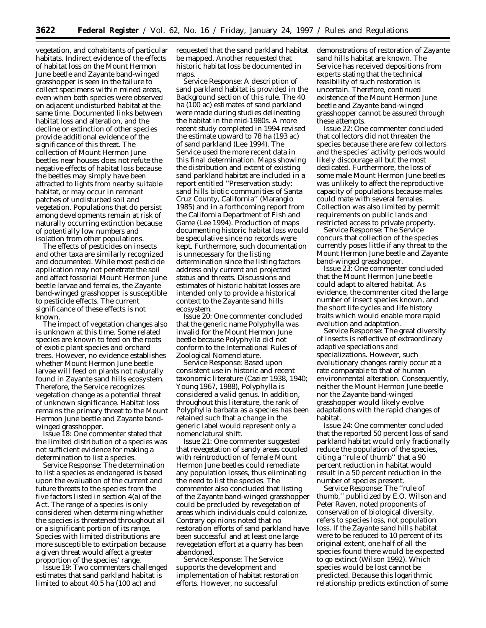vegetation, and cohabitants of particular habitats. Indirect evidence of the effects of habitat loss on the Mount Hermon June beetle and Zayante band-winged grasshopper is seen in the failure to collect specimens within mined areas, even when both species were observed on adjacent undisturbed habitat at the same time. Documented links between habitat loss and alteration, and the decline or extinction of other species provide additional evidence of the significance of this threat. The collection of Mount Hermon June beetles near houses does not refute the negative effects of habitat loss because the beetles may simply have been attracted to lights from nearby suitable habitat, or may occur in remnant patches of undisturbed soil and vegetation. Populations that do persist among developments remain at risk of naturally occurring extinction because of potentially low numbers and isolation from other populations.

The effects of pesticides on insects and other taxa are similarly recognized and documented. While most pesticide application may not penetrate the soil and affect fossorial Mount Hermon June beetle larvae and females, the Zayante band-winged grasshopper is susceptible to pesticide effects. The current significance of these effects is not known.

The impact of vegetation changes also is unknown at this time. Some related species are known to feed on the roots of exotic plant species and orchard trees. However, no evidence establishes whether Mount Hermon June beetle larvae will feed on plants not naturally found in Zayante sand hills ecosystem. Therefore, the Service recognizes vegetation change as a potential threat of unknown significance. Habitat loss remains the primary threat to the Mount Hermon June beetle and Zayante bandwinged grasshopper.

*Issue 18:* One commenter stated that the limited distribution of a species was not sufficient evidence for making a determination to list a species.

*Service Response:* The determination to list a species as endangered is based upon the evaluation of the current and future threats to the species from the five factors listed in section 4(a) of the Act. The range of a species is only considered when determining whether the species is threatened throughout all or a significant portion of its range. Species with limited distributions are more susceptible to extirpation because a given threat would affect a greater proportion of the species' range.

*Issue 19:* Two commenters challenged estimates that sand parkland habitat is limited to about 40.5 ha (100 ac) and

requested that the sand parkland habitat be mapped. Another requested that historic habitat loss be documented in maps.

*Service Response:* A description of sand parkland habitat is provided in the Background section of this rule. The 40 ha (100 ac) estimates of sand parkland were made during studies delineating the habitat in the mid-1980s. A more recent study completed in 1994 revised the estimate upward to 78 ha (193 ac) of sand parkland (Lee 1994). The Service used the more recent data in this final determination. Maps showing the distribution and extent of existing sand parkland habitat are included in a report entitled ''Preservation study: sand hills biotic communities of Santa Cruz County, California'' (Marangio 1985) and in a forthcoming report from the California Department of Fish and Game (Lee 1994). Production of maps documenting historic habitat loss would be speculative since no records were kept. Furthermore, such documentation is unnecessary for the listing determination since the listing factors address only current and projected status and threats. Discussions and estimates of historic habitat losses are intended only to provide a historical context to the Zayante sand hills ecosystem.

*Issue 20:* One commenter concluded that the generic name *Polyphylla* was invalid for the Mount Hermon June beetle because *Polyphylla* did not conform to the International Rules of Zoological Nomenclature.

*Service Response:* Based upon consistent use in historic and recent taxonomic literature (Cazier 1938, 1940; Young 1967, 1988), *Polyphylla* is considered a valid genus. In addition, throughout this literature, the rank of *Polyphylla barbata* as a species has been retained such that a change in the generic label would represent only a nomenclatural shift.

*Issue 21:* One commenter suggested that revegetation of sandy areas coupled with reintroduction of female Mount Hermon June beetles could remediate any population losses, thus eliminating the need to list the species. The commenter also concluded that listing of the Zayante band-winged grasshopper could be precluded by revegetation of areas which individuals could colonize. Contrary opinions noted that no restoration efforts of sand parkland have been successful and at least one large revegetation effort at a quarry has been abandoned.

*Service Response:* The Service supports the development and implementation of habitat restoration efforts. However, no successful

demonstrations of restoration of Zayante sand hills habitat are known. The Service has received depositions from experts stating that the technical feasibility of such restoration is uncertain. Therefore, continued existence of the Mount Hermon June beetle and Zayante band-winged grasshopper cannot be assured through these attempts.

*Issue 22:* One commenter concluded that collectors did not threaten the species because there are few collectors and the species' activity periods would likely discourage all but the most dedicated. Furthermore, the loss of some male Mount Hermon June beetles was unlikely to affect the reproductive capacity of populations because males could mate with several females. Collection was also limited by permit requirements on public lands and restricted access to private property.

*Service Response:* The Service concurs that collection of the species currently poses little if any threat to the Mount Hermon June beetle and Zayante band-winged grasshopper.

*Issue 23:* One commenter concluded that the Mount Hermon June beetle could adapt to altered habitat. As evidence, the commenter cited the large number of insect species known, and the short life cycles and life history traits which would enable more rapid evolution and adaptation.

*Service Response:* The great diversity of insects is reflective of extraordinary adaptive speciations and specializations. However, such evolutionary changes rarely occur at a rate comparable to that of human environmental alteration. Consequently, neither the Mount Hermon June beetle nor the Zayante band-winged grasshopper would likely evolve adaptations with the rapid changes of habitat.

*Issue 24:* One commenter concluded that the reported 50 percent loss of sand parkland habitat would only fractionally reduce the population of the species, citing a ''rule of thumb'' that a 90 percent reduction in habitat would result in a 50 percent reduction in the number of species present.

*Service Response:* The ''rule of thumb,'' publicized by E.O. Wilson and Peter Raven, noted proponents of conservation of biological diversity, refers to species loss, not population loss. If the Zayante sand hills habitat were to be reduced to 10 percent of its original extent, one half of all the species found there would be expected to go extinct (Wilson 1992). Which species would be lost cannot be predicted. Because this logarithmic relationship predicts extinction of some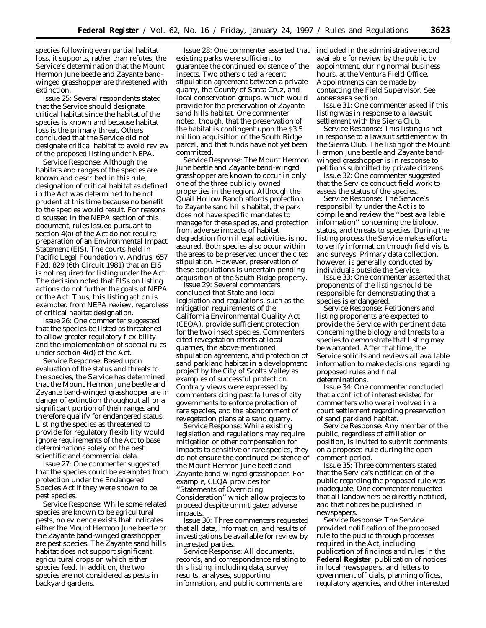species following even partial habitat loss, it supports, rather than refutes, the Service's determination that the Mount Hermon June beetle and Zayante bandwinged grasshopper are threatened with extinction.

*Issue 25:* Several respondents stated that the Service should designate critical habitat since the habitat of the species is known and because habitat loss is the primary threat. Others concluded that the Service did not designate critical habitat to avoid review of the proposed listing under NEPA.

*Service Response:* Although the habitats and ranges of the species are known and described in this rule, designation of critical habitat as defined in the Act was determined to be not prudent at this time because no benefit to the species would result. For reasons discussed in the NEPA section of this document, rules issued pursuant to section 4(a) of the Act do not require preparation of an Environmental Impact Statement (EIS). The courts held in Pacific Legal Foundation v. Andrus, 657 F2d. 829 (6th Circuit 1981) that an EIS is not required for listing under the Act. The decision noted that EISs on listing actions do not further the goals of NEPA or the Act. Thus, this listing action is exempted from NEPA review, regardless of critical habitat designation.

*Issue 26:* One commenter suggested that the species be listed as threatened to allow greater regulatory flexibility and the implementation of special rules under section 4(d) of the Act.

*Service Response:* Based upon evaluation of the status and threats to the species, the Service has determined that the Mount Hermon June beetle and Zayante band-winged grasshopper are in danger of extinction throughout all or a significant portion of their ranges and therefore qualify for endangered status. Listing the species as threatened to provide for regulatory flexibility would ignore requirements of the Act to base determinations solely on the best scientific and commercial data.

*Issue 27:* One commenter suggested that the species could be exempted from protection under the Endangered Species Act if they were shown to be pest species.

*Service Response:* While some related species are known to be agricultural pests, no evidence exists that indicates either the Mount Hermon June beetle or the Zayante band-winged grasshopper are pest species. The Zayante sand hills habitat does not support significant agricultural crops on which either species feed. In addition, the two species are not considered as pests in backyard gardens.

*Issue 28:* One commenter asserted that existing parks were sufficient to guarantee the continued existence of the insects. Two others cited a recent stipulation agreement between a private quarry, the County of Santa Cruz, and local conservation groups, which would provide for the preservation of Zayante sand hills habitat. One commenter noted, though, that the preservation of the habitat is contingent upon the \$3.5 million acquisition of the South Ridge parcel, and that funds have not yet been committed.

*Service Response:* The Mount Hermon June beetle and Zayante band-winged grasshopper are known to occur in only one of the three publicly owned properties in the region. Although the Quail Hollow Ranch affords protection to Zayante sand hills habitat, the park does not have specific mandates to manage for these species, and protection from adverse impacts of habitat degradation from illegal activities is not assured. Both species also occur within the areas to be preserved under the cited stipulation. However, preservation of these populations is uncertain pending acquisition of the South Ridge property.

*Issue 29:* Several commenters concluded that State and local legislation and regulations, such as the mitigation requirements of the California Environmental Quality Act (CEQA), provide sufficient protection for the two insect species. Commenters cited revegetation efforts at local quarries, the above-mentioned stipulation agreement, and protection of sand parkland habitat in a development project by the City of Scotts Valley as examples of successful protection. Contrary views were expressed by commenters citing past failures of city governments to enforce protection of rare species, and the abandonment of revegetation plans at a sand quarry.

*Service Response:* While existing legislation and regulations may require mitigation or other compensation for impacts to sensitive or rare species, they do not ensure the continued existence of the Mount Hermon June beetle and Zayante band-winged grasshopper. For example, CEQA provides for ''Statements of Overriding Consideration'' which allow projects to proceed despite unmitigated adverse **impacts** 

*Issue 30:* Three commenters requested that all data, information, and results of investigations be available for review by interested parties.

*Service Response:* All documents, records, and correspondence relating to this listing, including data, survey results, analyses, supporting information, and public comments are

included in the administrative record available for review by the public by appointment, during normal business hours, at the Ventura Field Office. Appointments can be made by contacting the Field Supervisor. See **ADDRESSES** section.

*Issue 31:* One commenter asked if this listing was in response to a lawsuit settlement with the Sierra Club.

*Service Response:* This listing is not in response to a lawsuit settlement with the Sierra Club. The listing of the Mount Hermon June beetle and Zayante bandwinged grasshopper is in response to petitions submitted by private citizens.

*Issue 32:* One commenter suggested that the Service conduct field work to assess the status of the species.

*Service Response:* The Service's responsibility under the Act is to compile and review the ''best available information'' concerning the biology, status, and threats to species. During the listing process the Service makes efforts to verify information through field visits and surveys. Primary data collection, however, is generally conducted by individuals outside the Service.

*Issue 33:* One commenter asserted that proponents of the listing should be responsible for demonstrating that a species is endangered.

*Service Response:* Petitioners and listing proponents are expected to provide the Service with pertinent data concerning the biology and threats to a species to demonstrate that listing may be warranted. After that time, the Service solicits and reviews all available information to make decisions regarding proposed rules and final determinations.

*Issue 34:* One commenter concluded that a conflict of interest existed for commenters who were involved in a court settlement regarding preservation of sand parkland habitat.

*Service Response:* Any member of the public, regardless of affiliation or position, is invited to submit comments on a proposed rule during the open comment period.

*Issue 35:* Three commenters stated that the Service's notification of the public regarding the proposed rule was inadequate. One commenter requested that all landowners be directly notified, and that notices be published in newspapers.

*Service Response:* The Service provided notification of the proposed rule to the public through processes required in the Act, including publication of findings and rules in the **Federal Register**, publication of notices in local newspapers, and letters to government officials, planning offices, regulatory agencies, and other interested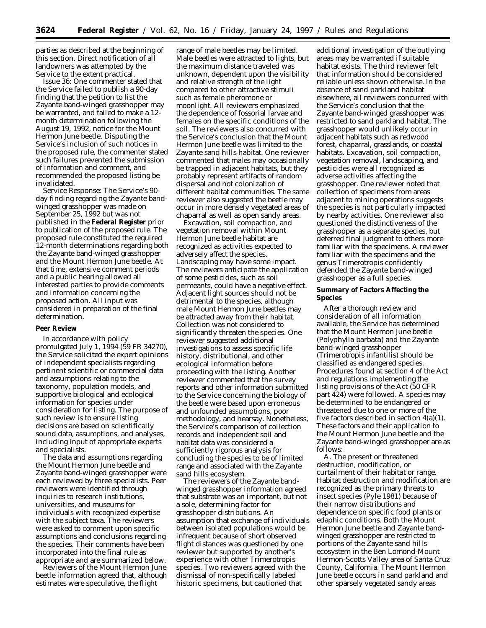parties as described at the beginning of this section. Direct notification of all landowners was attempted by the Service to the extent practical.

*Issue 36:* One commenter stated that the Service failed to publish a 90-day finding that the petition to list the Zayante band-winged grasshopper may be warranted, and failed to make a 12 month determination following the August 19, 1992, notice for the Mount Hermon June beetle. Disputing the Service's inclusion of such notices in the proposed rule, the commenter stated such failures prevented the submission of information and comment, and recommended the proposed listing be invalidated.

*Service Response:* The Service's 90 day finding regarding the Zayante bandwinged grasshopper was made on September 25, 1992 but was not published in the **Federal Register** prior to publication of the proposed rule. The proposed rule constituted the required 12-month determinations regarding both the Zayante band-winged grasshopper and the Mount Hermon June beetle. At that time, extensive comment periods and a public hearing allowed all interested parties to provide comments and information concerning the proposed action. All input was considered in preparation of the final determination.

#### **Peer Review**

In accordance with policy promulgated July 1, 1994 (59 FR 34270), the Service solicited the expert opinions of independent specialists regarding pertinent scientific or commercial data and assumptions relating to the taxonomy, population models, and supportive biological and ecological information for species under consideration for listing. The purpose of such review is to ensure listing decisions are based on scientifically sound data, assumptions, and analyses, including input of appropriate experts and specialists.

The data and assumptions regarding the Mount Hermon June beetle and Zayante band-winged grasshopper were each reviewed by three specialists. Peer reviewers were identified through inquiries to research institutions, universities, and museums for individuals with recognized expertise with the subject taxa. The reviewers were asked to comment upon specific assumptions and conclusions regarding the species. Their comments have been incorporated into the final rule as appropriate and are summarized below.

Reviewers of the Mount Hermon June beetle information agreed that, although estimates were speculative, the flight

range of male beetles may be limited. Male beetles were attracted to lights, but the maximum distance traveled was unknown, dependent upon the visibility and relative strength of the light compared to other attractive stimuli such as female pheromone or moonlight. All reviewers emphasized the dependence of fossorial larvae and females on the specific conditions of the soil. The reviewers also concurred with the Service's conclusion that the Mount Hermon June beetle was limited to the Zayante sand hills habitat. One reviewer commented that males may occasionally be trapped in adjacent habitats, but they probably represent artifacts of random dispersal and not colonization of different habitat communities. The same reviewer also suggested the beetle may occur in more densely vegetated areas of chaparral as well as open sandy areas.

Excavation, soil compaction, and vegetation removal within Mount Hermon June beetle habitat are recognized as activities expected to adversely affect the species. Landscaping may have some impact. The reviewers anticipate the application of some pesticides, such as soil permeants, could have a negative effect. Adjacent light sources should not be detrimental to the species, although male Mount Hermon June beetles may be attracted away from their habitat. Collection was not considered to significantly threaten the species. One reviewer suggested additional investigations to assess specific life history, distributional, and other ecological information before proceeding with the listing. Another reviewer commented that the survey reports and other information submitted to the Service concerning the biology of the beetle were based upon erroneous and unfounded assumptions, poor methodology, and hearsay. Nonetheless, the Service's comparison of collection records and independent soil and habitat data was considered a sufficiently rigorous analysis for concluding the species to be of limited range and associated with the Zayante sand hills ecosystem.

The reviewers of the Zayante bandwinged grasshopper information agreed that substrate was an important, but not a sole, determining factor for grasshopper distributions. An assumption that exchange of individuals between isolated populations would be infrequent because of short observed flight distances was questioned by one reviewer but supported by another's experience with other *Trimerotropis* species. Two reviewers agreed with the dismissal of non-specifically labeled historic specimens, but cautioned that

additional investigation of the outlying areas may be warranted if suitable habitat exists. The third reviewer felt that information should be considered reliable unless shown otherwise. In the absence of sand parkland habitat elsewhere, all reviewers concurred with the Service's conclusion that the Zayante band-winged grasshopper was restricted to sand parkland habitat. The grasshopper would unlikely occur in adjacent habitats such as redwood forest, chaparral, grasslands, or coastal habitats. Excavation, soil compaction, vegetation removal, landscaping, and pesticides were all recognized as adverse activities affecting the grasshopper. One reviewer noted that collection of specimens from areas adjacent to mining operations suggests the species is not particularly impacted by nearby activities. One reviewer also questioned the distinctiveness of the grasshopper as a separate species, but deferred final judgment to others more familiar with the specimens. A reviewer familiar with the specimens and the genus *Trimerotropis* confidently defended the Zayante band-winged grasshopper as a full species.

#### **Summary of Factors Affecting the Species**

After a thorough review and consideration of all information available, the Service has determined that the Mount Hermon June beetle (*Polyphylla barbata*) and the Zayante band-winged grasshopper (*Trimerotropis infantilis*) should be classified as endangered species. Procedures found at section 4 of the Act and regulations implementing the listing provisions of the Act (50 CFR part 424) were followed. A species may be determined to be endangered or threatened due to one or more of the five factors described in section 4(a)(1). These factors and their application to the Mount Hermon June beetle and the Zayante band-winged grasshopper are as follows:

*A. The present or threatened destruction, modification, or curtailment of their habitat or range.* Habitat destruction and modification are recognized as the primary threats to insect species (Pyle 1981) because of their narrow distributions and dependence on specific food plants or edaphic conditions. Both the Mount Hermon June beetle and Zayante bandwinged grasshopper are restricted to portions of the Zayante sand hills ecosystem in the Ben Lomond-Mount Hermon-Scotts Valley area of Santa Cruz County, California. The Mount Hermon June beetle occurs in sand parkland and other sparsely vegetated sandy areas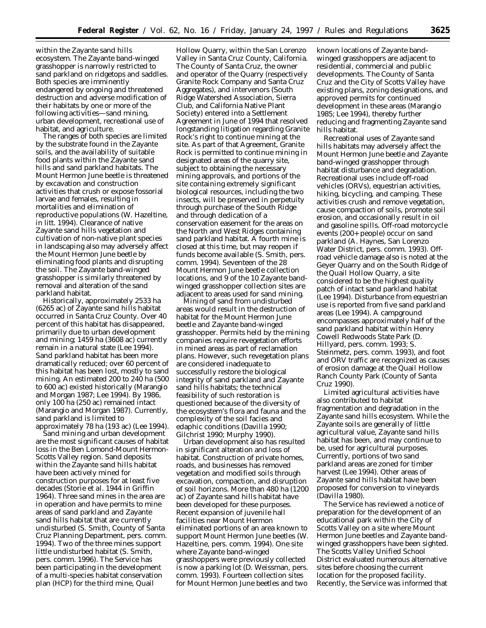within the Zayante sand hills ecosystem. The Zayante band-winged grasshopper is narrowly restricted to sand parkland on ridgetops and saddles. Both species are imminently endangered by ongoing and threatened destruction and adverse modification of their habitats by one or more of the following activities—sand mining, urban development, recreational use of habitat, and agriculture.

The ranges of both species are limited by the substrate found in the Zayante soils, and the availability of suitable food plants within the Zayante sand hills and sand parkland habitats. The Mount Hermon June beetle is threatened by excavation and construction activities that crush or expose fossorial larvae and females, resulting in mortalities and elimination of reproductive populations (W. Hazeltine, *in litt.* 1994). Clearance of native Zayante sand hills vegetation and cultivation of non-native plant species in landscaping also may adversely affect the Mount Hermon June beetle by eliminating food plants and disrupting the soil. The Zayante band-winged grasshopper is similarly threatened by removal and alteration of the sand parkland habitat.

Historically, approximately 2533 ha (6265 ac) of Zayante sand hills habitat occurred in Santa Cruz County. Over 40 percent of this habitat has disappeared, primarily due to urban development and mining; 1459 ha (3608 ac) currently remain in a natural state (Lee 1994). Sand parkland habitat has been more dramatically reduced; over 60 percent of this habitat has been lost, mostly to sand mining. An estimated 200 to 240 ha (500 to 600 ac) existed historically (Marangio and Morgan 1987; Lee 1994). By 1986, only 100 ha (250 ac) remained intact (Marangio and Morgan 1987). Currently, sand parkland is limited to approximately 78 ha (193 ac) (Lee 1994).

Sand mining and urban development are the most significant causes of habitat loss in the Ben Lomond-Mount Hermon-Scotts Valley region. Sand deposits within the Zayante sand hills habitat have been actively mined for construction purposes for at least five decades (Storie *et al.* 1944 in Griffin 1964). Three sand mines in the area are in operation and have permits to mine areas of sand parkland and Zayante sand hills habitat that are currently undisturbed (S. Smith, County of Santa Cruz Planning Department, pers. comm. 1994). Two of the three mines support little undisturbed habitat (S. Smith, pers. comm. 1996). The Service has been participating in the development of a multi-species habitat conservation plan (HCP) for the third mine, Quail

Hollow Quarry, within the San Lorenzo Valley in Santa Cruz County, California. The County of Santa Cruz, the owner and operator of the Quarry (respectively Granite Rock Company and Santa Cruz Aggregates), and intervenors (South Ridge Watershed Association, Sierra Club, and California Native Plant Society) entered into a Settlement Agreement in June of 1994 that resolved longstanding litigation regarding Granite Rock's right to continue mining at the site. As part of that Agreement, Granite Rock is permitted to continue mining in designated areas of the quarry site, subject to obtaining the necessary mining approvals, and portions of the site containing extremely significant biological resources, including the two insects, will be preserved in perpetuity through purchase of the South Ridge and through dedication of a conservation easement for the areas on the North and West Ridges containing sand parkland habitat. A fourth mine is closed at this time, but may reopen if funds become available (S. Smith, pers. comm. 1994). Seventeen of the 28 Mount Hermon June beetle collection locations, and 9 of the 10 Zayante bandwinged grasshopper collection sites are adjacent to areas used for sand mining.

Mining of sand from undisturbed areas would result in the destruction of habitat for the Mount Hermon June beetle and Zayante band-winged grasshopper. Permits held by the mining companies require revegetation efforts in mined areas as part of reclamation plans. However, such revegetation plans are considered inadequate to successfully restore the biological integrity of sand parkland and Zayante sand hills habitats; the technical feasibility of such restoration is questioned because of the diversity of the ecosystem's flora and fauna and the complexity of the soil facies and edaphic conditions (Davilla 1990; Gilchrist 1990; Murphy 1990).

Urban development also has resulted in significant alteration and loss of habitat. Construction of private homes, roads, and businesses has removed vegetation and modified soils through excavation, compaction, and disruption of soil horizons. More than 480 ha (1200 ac) of Zayante sand hills habitat have been developed for these purposes. Recent expansion of juvenile hall facilities near Mount Hermon eliminated portions of an area known to support Mount Hermon June beetles (W. Hazeltine, pers. comm. 1994). One site where Zayante band-winged grasshoppers were previously collected is now a parking lot (D. Weissman, pers. comm. 1993). Fourteen collection sites for Mount Hermon June beetles and two

known locations of Zayante bandwinged grasshoppers are adjacent to residential, commercial and public developments. The County of Santa Cruz and the City of Scotts Valley have existing plans, zoning designations, and approved permits for continued development in these areas (Marangio 1985; Lee 1994), thereby further reducing and fragmenting Zayante sand hills habitat.

Recreational uses of Zayante sand hills habitats may adversely affect the Mount Hermon June beetle and Zayante band-winged grasshopper through habitat disturbance and degradation. Recreational uses include off-road vehicles (ORVs), equestrian activities, hiking, bicycling, and camping. These activities crush and remove vegetation, cause compaction of soils, promote soil erosion, and occasionally result in oil and gasoline spills. Off-road motorcycle events (200+ people) occur on sand parkland (A. Haynes, San Lorenzo Water District, pers. comm. 1993). Offroad vehicle damage also is noted at the Geyer Quarry and on the South Ridge of the Quail Hollow Quarry, a site considered to be the highest quality patch of intact sand parkland habitat (Lee 1994). Disturbance from equestrian use is reported from five sand parkland areas (Lee 1994). A campground encompasses approximately half of the sand parkland habitat within Henry Cowell Redwoods State Park (D. Hillyard, pers. comm. 1993; S. Steinmetz, pers. comm. 1993), and foot and ORV traffic are recognized as causes of erosion damage at the Quail Hollow Ranch County Park (County of Santa Cruz 1990).

Limited agricultural activities have also contributed to habitat fragmentation and degradation in the Zayante sand hills ecosystem. While the Zayante soils are generally of little agricultural value, Zayante sand hills habitat has been, and may continue to be, used for agricultural purposes. Currently, portions of two sand parkland areas are zoned for timber harvest (Lee 1994). Other areas of Zayante sand hills habitat have been proposed for conversion to vineyards (Davilla 1980).

The Service has reviewed a notice of preparation for the development of an educational park within the City of Scotts Valley on a site where Mount Hermon June beetles and Zayante bandwinged grasshoppers have been sighted. The Scotts Valley Unified School District evaluated numerous alternative sites before choosing the current location for the proposed facility. Recently, the Service was informed that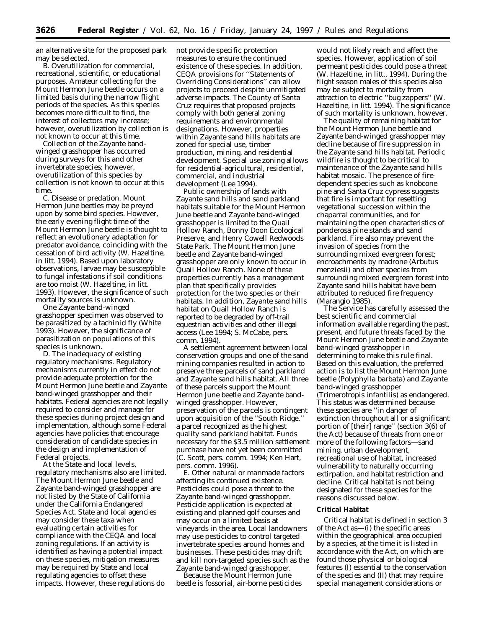an alternative site for the proposed park may be selected.

*B. Overutilization for commercial, recreational, scientific, or educational purposes.* Amateur collecting for the Mount Hermon June beetle occurs on a limited basis during the narrow flight periods of the species. As this species becomes more difficult to find, the interest of collectors may increase; however, overutilization by collection is not known to occur at this time.

Collection of the Zayante bandwinged grasshopper has occurred during surveys for this and other invertebrate species; however, overutilization of this species by collection is not known to occur at this time.

*C. Disease or predation.* Mount Hermon June beetles may be preyed upon by some bird species. However, the early evening flight time of the Mount Hermon June beetle is thought to reflect an evolutionary adaptation for predator avoidance, coinciding with the cessation of bird activity (W. Hazeltine, *in litt.* 1994). Based upon laboratory observations, larvae may be susceptible to fungal infestations if soil conditions are too moist (W. Hazeltine, *in litt.* 1993). However, the significance of such mortality sources is unknown.

One Zayante band-winged grasshopper specimen was observed to be parasitized by a tachinid fly (White 1993). However, the significance of parasitization on populations of this species is unknown.

*D. The inadequacy of existing regulatory mechanisms.* Regulatory mechanisms currently in effect do not provide adequate protection for the Mount Hermon June beetle and Zayante band-winged grasshopper and their habitats. Federal agencies are not legally required to consider and manage for these species during project design and implementation, although some Federal agencies have policies that encourage consideration of candidate species in the design and implementation of Federal projects.

At the State and local levels, regulatory mechanisms also are limited. The Mount Hermon June beetle and Zayante band-winged grasshopper are not listed by the State of California under the California Endangered Species Act. State and local agencies may consider these taxa when evaluating certain activities for compliance with the CEQA and local zoning regulations. If an activity is identified as having a potential impact on these species, mitigation measures may be required by State and local regulating agencies to offset these impacts. However, these regulations do

not provide specific protection measures to ensure the continued existence of these species. In addition, CEQA provisions for ''Statements of Overriding Considerations'' can allow projects to proceed despite unmitigated adverse impacts. The County of Santa Cruz requires that proposed projects comply with both general zoning requirements and environmental designations. However, properties within Zayante sand hills habitats are zoned for special use, timber production, mining, and residential development. Special use zoning allows for residential-agricultural, residential, commercial, and industrial development (Lee 1994).

Public ownership of lands with Zayante sand hills and sand parkland habitats suitable for the Mount Hermon June beetle and Zayante band-winged grasshopper is limited to the Quail Hollow Ranch, Bonny Doon Ecological Preserve, and Henry Cowell Redwoods State Park. The Mount Hermon June beetle and Zayante band-winged grasshopper are only known to occur in Quail Hollow Ranch. None of these properties currently has a management plan that specifically provides protection for the two species or their habitats. In addition, Zayante sand hills habitat on Quail Hollow Ranch is reported to be degraded by off-trail equestrian activities and other illegal access (Lee 1994; S. McCabe, pers. comm. 1994).

A settlement agreement between local conservation groups and one of the sand mining companies resulted in action to preserve three parcels of sand parkland and Zayante sand hills habitat. All three of these parcels support the Mount Hermon June beetle and Zayante bandwinged grasshopper. However, preservation of the parcels is contingent upon acquisition of the ''South Ridge,'' a parcel recognized as the highest quality sand parkland habitat. Funds necessary for the \$3.5 million settlement purchase have not yet been committed (C. Scott, pers. comm. 1994; Ken Hart, pers. comm. 1996).

*E. Other natural or manmade factors affecting its continued existence.* Pesticides could pose a threat to the Zayante band-winged grasshopper. Pesticide application is expected at existing and planned golf courses and may occur on a limited basis at vineyards in the area. Local landowners may use pesticides to control targeted invertebrate species around homes and businesses. These pesticides may drift and kill non-targeted species such as the Zayante band-winged grasshopper.

Because the Mount Hermon June beetle is fossorial, air-borne pesticides

would not likely reach and affect the species. However, application of soil permeant pesticides could pose a threat (W. Hazeltine, *in litt.*, 1994). During the flight season males of this species also may be subject to mortality from attraction to electric ''bug zappers'' (W. Hazeltine, *in litt.* 1994). The significance of such mortality is unknown, however.

The quality of remaining habitat for the Mount Hermon June beetle and Zayante band-winged grasshopper may decline because of fire suppression in the Zayante sand hills habitat. Periodic wildfire is thought to be critical to maintenance of the Zayante sand hills habitat mosaic. The presence of firedependent species such as knobcone pine and Santa Cruz cypress suggests that fire is important for resetting vegetational succession within the chaparral communities, and for maintaining the open characteristics of ponderosa pine stands and sand parkland. Fire also may prevent the invasion of species from the surrounding mixed evergreen forest; encroachments by madrone (*Arbutus menziesii*) and other species from surrounding mixed evergreen forest into Zayante sand hills habitat have been attributed to reduced fire frequency (Marangio 1985).

The Service has carefully assessed the best scientific and commercial information available regarding the past, present, and future threats faced by the Mount Hermon June beetle and Zayante band-winged grasshopper in determining to make this rule final. Based on this evaluation, the preferred action is to list the Mount Hermon June beetle (*Polyphylla barbata*) and Zayante band-winged grasshopper (*Trimerotropis infantilis*) as endangered. This status was determined because these species are ''in danger of extinction throughout all or a significant portion of [their] range'' (section 3(6) of the Act) because of threats from one or more of the following factors—sand mining, urban development, recreational use of habitat, increased vulnerability to naturally occurring extirpation, and habitat restriction and decline. Critical habitat is not being designated for these species for the reasons discussed below.

# **Critical Habitat**

Critical habitat is defined in section 3 of the Act as—(i) the specific areas within the geographical area occupied by a species, at the time it is listed in accordance with the Act, on which are found those physical or biological features (I) essential to the conservation of the species and (II) that may require special management considerations or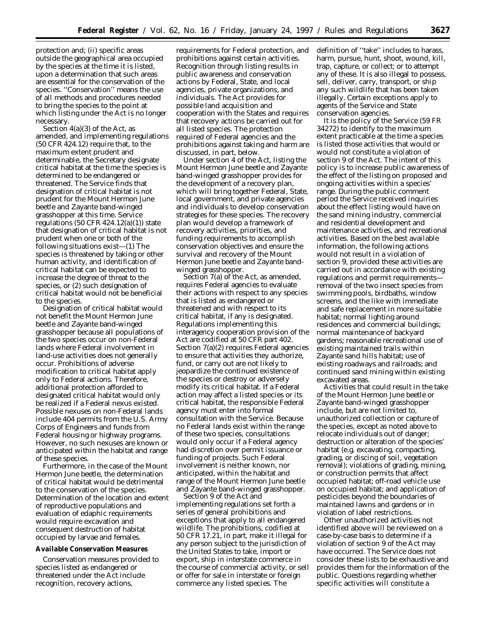protection and; (ii) specific areas outside the geographical area occupied by the species at the time it is listed, upon a determination that such areas are essential for the conservation of the species. ''Conservation'' means the use of all methods and procedures needed to bring the species to the point at which listing under the Act is no longer necessary.

Section  $4(a)(3)$  of the Act, as amended, and implementing regulations (50 CFR 424.12) require that, to the maximum extent prudent and determinable, the Secretary designate critical habitat at the time the species is determined to be endangered or threatened. The Service finds that designation of critical habitat is not prudent for the Mount Hermon June beetle and Zayante band-winged grasshopper at this time. Service regulations  $(50 \text{ CFR } 424.12(a)(1))$  state that designation of critical habitat is not prudent when one or both of the following situations exist—(1) The species is threatened by taking or other human activity, and identification of critical habitat can be expected to increase the degree of threat to the species, or (2) such designation of critical habitat would not be beneficial to the species.

Designation of critical habitat would not benefit the Mount Hermon June beetle and Zayante band-winged grasshopper because all populations of the two species occur on non-Federal lands where Federal involvement in land-use activities does not generally occur. Prohibitions of adverse modification to critical habitat apply only to Federal actions. Therefore, additional protection afforded to designated critical habitat would only be realized if a Federal nexus existed. Possible nexuses on non-Federal lands include 404 permits from the U.S. Army Corps of Engineers and funds from Federal housing or highway programs. However, no such nexuses are known or anticipated within the habitat and range of these species.

Furthermore, in the case of the Mount Hermon June beetle, the determination of critical habitat would be detrimental to the conservation of the species. Determination of the location and extent of reproductive populations and evaluation of edaphic requirements would require excavation and consequent destruction of habitat occupied by larvae and females.

#### **Available Conservation Measures**

Conservation measures provided to species listed as endangered or threatened under the Act include recognition, recovery actions,

requirements for Federal protection, and prohibitions against certain activities. Recognition through listing results in public awareness and conservation actions by Federal, State, and local agencies, private organizations, and individuals. The Act provides for possible land acquisition and cooperation with the States and requires that recovery actions be carried out for all listed species. The protection required of Federal agencies and the prohibitions against taking and harm are discussed, in part, below.

Under section 4 of the Act, listing the Mount Hermon June beetle and Zayante band-winged grasshopper provides for the development of a recovery plan, which will bring together Federal, State, local government, and private agencies and individuals to develop conservation strategies for these species. The recovery plan would develop a framework of recovery activities, priorities, and funding requirements to accomplish conservation objectives and ensure the survival and recovery of the Mount Hermon June beetle and Zayante bandwinged grasshopper.

Section 7(a) of the Act, as amended, requires Federal agencies to evaluate their actions with respect to any species that is listed as endangered or threatened and with respect to its critical habitat, if any is designated. Regulations implementing this interagency cooperation provision of the Act are codified at 50 CFR part 402. Section 7(a)(2) requires Federal agencies to ensure that activities they authorize, fund, or carry out are not likely to jeopardize the continued existence of the species or destroy or adversely modify its critical habitat. If a Federal action may affect a listed species or its critical habitat, the responsible Federal agency must enter into formal consultation with the Service. Because no Federal lands exist within the range of these two species, consultations would only occur if a Federal agency had discretion over permit issuance or funding of projects. Such Federal involvement is neither known, nor anticipated, within the habitat and range of the Mount Hermon June beetle and Zayante band-winged grasshopper.

Section 9 of the Act and implementing regulations set forth a series of general prohibitions and exceptions that apply to all endangered wildlife. The prohibitions, codified at 50 CFR 17.21, in part, make it illegal for any person subject to the jurisdiction of the United States to take, import or export, ship in interstate commerce in the course of commercial activity, or sell or offer for sale in interstate or foreign commerce any listed species. The

definition of ''take'' includes to harass, harm, pursue, hunt, shoot, wound, kill, trap, capture, or collect; or to attempt any of these. It is also illegal to possess, sell, deliver, carry, transport, or ship any such wildlife that has been taken illegally. Certain exceptions apply to agents of the Service and State conservation agencies.

It is the policy of the Service (59 FR 34272) to identify to the maximum extent practicable at the time a species is listed those activities that would or would not constitute a violation of section 9 of the Act. The intent of this policy is to increase public awareness of the effect of the listing on proposed and ongoing activities within a species' range. During the public comment period the Service received inquiries about the effect listing would have on the sand mining industry, commercial and residential development and maintenance activities, and recreational activities. Based on the best available information, the following actions would not result in a violation of section 9, provided these activities are carried out in accordance with existing regulations and permit requirements removal of the two insect species from swimming pools, birdbaths, window screens, and the like with immediate and safe replacement in more suitable habitat; normal lighting around residences and commercial buildings; normal maintenance of backyard gardens; reasonable recreational use of existing maintained trails within Zayante sand hills habitat; use of existing roadways and railroads; and continued sand mining within existing excavated areas.

Activities that could result in the take of the Mount Hermon June beetle or Zayante band-winged grasshopper include, but are not limited to, unauthorized collection or capture of the species, except as noted above to relocate individuals out of danger; destruction or alteration of the species' habitat (e.g. excavating, compacting, grading, or discing of soil, vegetation removal); violations of grading, mining, or construction permits that affect occupied habitat; off-road vehicle use on occupied habitat; and application of pesticides beyond the boundaries of maintained lawns and gardens or in violation of label restrictions.

Other unauthorized activities not identified above will be reviewed on a case-by-case basis to determine if a violation of section 9 of the Act may have occurred. The Service does not consider these lists to be exhaustive and provides them for the information of the public. Questions regarding whether specific activities will constitute a